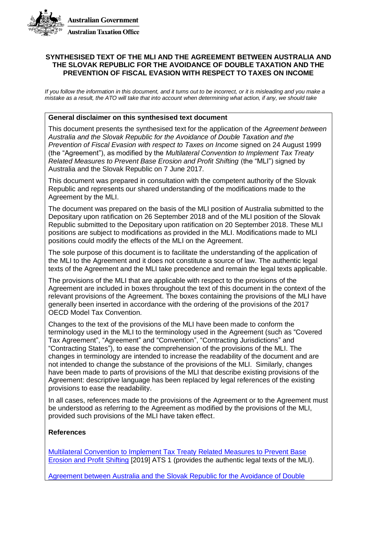

#### **SYNTHESISED TEXT OF THE MLI AND THE AGREEMENT BETWEEN AUSTRALIA AND THE SLOVAK REPUBLIC FOR THE AVOIDANCE OF DOUBLE TAXATION AND THE PREVENTION OF FISCAL EVASION WITH RESPECT TO TAXES ON INCOME**

*If you follow the information in this document, and it turns out to be incorrect, or it is misleading and you make a mistake as a result, the ATO will take that into account when determining what action, if any, we should take*

#### **General disclaimer on this synthesised text document**

This document presents the synthesised text for the application of the *Agreement between Australia and the Slovak Republic for the Avoidance of Double Taxation and the Prevention of Fiscal Evasion with respect to Taxes on Income* signed on 24 August 1999 (the "Agreement"), as modified by the *Multilateral Convention to Implement Tax Treaty Related Measures to Prevent Base Erosion and Profit Shifting* (the "MLI") signed by Australia and the Slovak Republic on 7 June 2017.

This document was prepared in consultation with the competent authority of the Slovak Republic and represents our shared understanding of the modifications made to the Agreement by the MLI.

The document was prepared on the basis of the MLI position of Australia submitted to the Depositary upon ratification on 26 September 2018 and of the MLI position of the Slovak Republic submitted to the Depositary upon ratification on 20 September 2018. These MLI positions are subject to modifications as provided in the MLI. Modifications made to MLI positions could modify the effects of the MLI on the Agreement.

The sole purpose of this document is to facilitate the understanding of the application of the MLI to the Agreement and it does not constitute a source of law. The authentic legal texts of the Agreement and the MLI take precedence and remain the legal texts applicable.

The provisions of the MLI that are applicable with respect to the provisions of the Agreement are included in boxes throughout the text of this document in the context of the relevant provisions of the Agreement. The boxes containing the provisions of the MLI have generally been inserted in accordance with the ordering of the provisions of the 2017 OECD Model Tax Convention.

Changes to the text of the provisions of the MLI have been made to conform the terminology used in the MLI to the terminology used in the Agreement (such as "Covered Tax Agreement", "Agreement" and "Convention", "Contracting Jurisdictions" and "Contracting States"), to ease the comprehension of the provisions of the MLI. The changes in terminology are intended to increase the readability of the document and are not intended to change the substance of the provisions of the MLI. Similarly, changes have been made to parts of provisions of the MLI that describe existing provisions of the Agreement: descriptive language has been replaced by legal references of the existing provisions to ease the readability.

In all cases, references made to the provisions of the Agreement or to the Agreement must be understood as referring to the Agreement as modified by the provisions of the MLI, provided such provisions of the MLI have taken effect.

#### **References**

[Multilateral Convention to Implement Tax Treaty Related Measures to Prevent Base](http://www.oecd.org/tax/treaties/multilateral-convention-to-implement-tax-treaty-related-measures-to-prevent-BEPS.pdf)  [Erosion and Profit Shifting](http://www.oecd.org/tax/treaties/multilateral-convention-to-implement-tax-treaty-related-measures-to-prevent-BEPS.pdf) [2019] ATS 1 (provides the authentic legal texts of the MLI).

[Agreement between Australia and the Slovak Republic for the Avoidance of Double](http://www.austlii.edu.au/au/other/dfat/treaties/1999/35.html)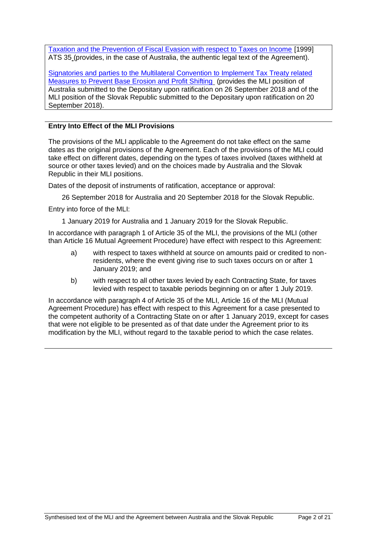[Taxation and the Prevention of Fiscal Evasion with respect to Taxes on Income](http://www.austlii.edu.au/au/other/dfat/treaties/1999/35.html) [1999] ATS 35 (provides, in the case of Australia, the authentic legal text of the Agreement).

[Signatories and parties to the Multilateral Convention to Implement Tax Treaty related](http://www.oecd.org/tax/treaties/beps-mli-signatories-and-parties.pdf)  [Measures to Prevent Base Erosion and Profit Shifting](http://www.oecd.org/tax/treaties/beps-mli-signatories-and-parties.pdf) (provides the MLI position of Australia submitted to the Depositary upon ratification on 26 September 2018 and of the MLI position of the Slovak Republic submitted to the Depositary upon ratification on 20 September 2018).

### **Entry Into Effect of the MLI Provisions**

The provisions of the MLI applicable to the Agreement do not take effect on the same dates as the original provisions of the Agreement. Each of the provisions of the MLI could take effect on different dates, depending on the types of taxes involved (taxes withheld at source or other taxes levied) and on the choices made by Australia and the Slovak Republic in their MLI positions.

Dates of the deposit of instruments of ratification, acceptance or approval:

26 September 2018 for Australia and 20 September 2018 for the Slovak Republic.

Entry into force of the MLI:

1 January 2019 for Australia and 1 January 2019 for the Slovak Republic.

In accordance with paragraph 1 of Article 35 of the MLI, the provisions of the MLI (other than Article 16 Mutual Agreement Procedure) have effect with respect to this Agreement:

- a) with respect to taxes withheld at source on amounts paid or credited to nonresidents, where the event giving rise to such taxes occurs on or after 1 January 2019; and
- b) with respect to all other taxes levied by each Contracting State, for taxes levied with respect to taxable periods beginning on or after 1 July 2019.

In accordance with paragraph 4 of Article 35 of the MLI, Article 16 of the MLI (Mutual Agreement Procedure) has effect with respect to this Agreement for a case presented to the competent authority of a Contracting State on or after 1 January 2019, except for cases that were not eligible to be presented as of that date under the Agreement prior to its modification by the MLI, without regard to the taxable period to which the case relates.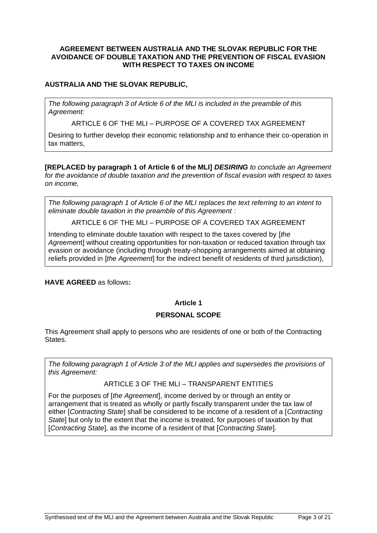#### **AGREEMENT BETWEEN AUSTRALIA AND THE SLOVAK REPUBLIC FOR THE AVOIDANCE OF DOUBLE TAXATION AND THE PREVENTION OF FISCAL EVASION WITH RESPECT TO TAXES ON INCOME**

### **AUSTRALIA AND THE SLOVAK REPUBLIC,**

*The following paragraph 3 of Article 6 of the MLI is included in the preamble of this Agreement:*

ARTICLE 6 OF THE MLI – PURPOSE OF A COVERED TAX AGREEMENT

Desiring to further develop their economic relationship and to enhance their co-operation in tax matters,

**[REPLACED by paragraph 1 of Article 6 of the MLI]** *DESIRING to conclude an Agreement for the avoidance of double taxation and the prevention of fiscal evasion with respect to taxes on income,*

*The following paragraph 1 of Article 6 of the MLI replaces the text referring to an intent to eliminate double taxation in the preamble of this Agreement :*

ARTICLE 6 OF THE MLI – PURPOSE OF A COVERED TAX AGREEMENT

Intending to eliminate double taxation with respect to the taxes covered by [*the Agreemen*t] without creating opportunities for non-taxation or reduced taxation through tax evasion or avoidance (including through treaty-shopping arrangements aimed at obtaining reliefs provided in [*the Agreement*] for the indirect benefit of residents of third jurisdiction),

**HAVE AGREED** as follows**:**

### **Article 1**

#### **PERSONAL SCOPE**

This Agreement shall apply to persons who are residents of one or both of the Contracting States.

*The following paragraph 1 of Article 3 of the MLI applies and supersedes the provisions of this Agreement:*

#### ARTICLE 3 OF THE MLI – TRANSPARENT ENTITIES

For the purposes of [*the Agreement*], income derived by or through an entity or arrangement that is treated as wholly or partly fiscally transparent under the tax law of either [*Contracting State*] shall be considered to be income of a resident of a [*Contracting State*] but only to the extent that the income is treated, for purposes of taxation by that [*Contracting State*], as the income of a resident of that [*Contracting State*].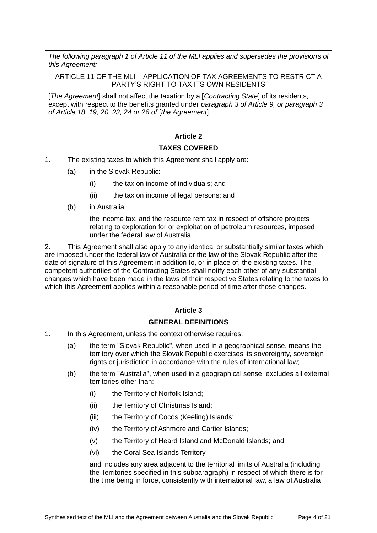*The following paragraph 1 of Article 11 of the MLI applies and supersedes the provisions of this Agreement:*

#### ARTICLE 11 OF THE MLI – APPLICATION OF TAX AGREEMENTS TO RESTRICT A PARTY'S RIGHT TO TAX ITS OWN RESIDENTS

[*The Agreement*] shall not affect the taxation by a [*Contracting State*] of its residents, except with respect to the benefits granted under *paragraph 3 of Article 9, or paragraph 3 of Article 18, 19, 20, 23, 24 or 26 of* [*the Agreement*].

### **Article 2**

#### **TAXES COVERED**

- 1. The existing taxes to which this Agreement shall apply are:
	- (a) in the Slovak Republic:
		- (i) the tax on income of individuals; and
		- (ii) the tax on income of legal persons; and
	- (b) in Australia:

the income tax, and the resource rent tax in respect of offshore projects relating to exploration for or exploitation of petroleum resources, imposed under the federal law of Australia.

2. This Agreement shall also apply to any identical or substantially similar taxes which are imposed under the federal law of Australia or the law of the Slovak Republic after the date of signature of this Agreement in addition to, or in place of, the existing taxes. The competent authorities of the Contracting States shall notify each other of any substantial changes which have been made in the laws of their respective States relating to the taxes to which this Agreement applies within a reasonable period of time after those changes.

#### **Article 3**

#### **GENERAL DEFINITIONS**

- 1. In this Agreement, unless the context otherwise requires:
	- (a) the term "Slovak Republic", when used in a geographical sense, means the territory over which the Slovak Republic exercises its sovereignty, sovereign rights or jurisdiction in accordance with the rules of international law;
	- (b) the term "Australia", when used in a geographical sense, excludes all external territories other than:
		- (i) the Territory of Norfolk Island;
		- (ii) the Territory of Christmas Island;
		- (iii) the Territory of Cocos (Keeling) Islands;
		- (iv) the Territory of Ashmore and Cartier Islands;
		- (v) the Territory of Heard Island and McDonald Islands; and
		- (vi) the Coral Sea Islands Territory,

and includes any area adjacent to the territorial limits of Australia (including the Territories specified in this subparagraph) in respect of which there is for the time being in force, consistently with international law, a law of Australia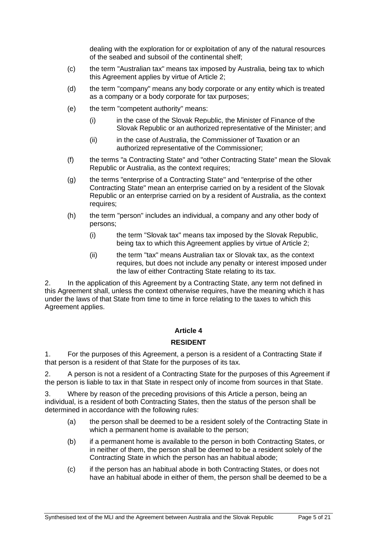dealing with the exploration for or exploitation of any of the natural resources of the seabed and subsoil of the continental shelf;

- (c) the term "Australian tax" means tax imposed by Australia, being tax to which this Agreement applies by virtue of Article 2;
- (d) the term "company" means any body corporate or any entity which is treated as a company or a body corporate for tax purposes;
- (e) the term "competent authority" means:
	- (i) in the case of the Slovak Republic, the Minister of Finance of the Slovak Republic or an authorized representative of the Minister; and
	- (ii) in the case of Australia, the Commissioner of Taxation or an authorized representative of the Commissioner;
- (f) the terms "a Contracting State" and "other Contracting State" mean the Slovak Republic or Australia, as the context requires;
- (g) the terms "enterprise of a Contracting State" and "enterprise of the other Contracting State" mean an enterprise carried on by a resident of the Slovak Republic or an enterprise carried on by a resident of Australia, as the context requires;
- (h) the term "person" includes an individual, a company and any other body of persons;
	- (i) the term "Slovak tax" means tax imposed by the Slovak Republic, being tax to which this Agreement applies by virtue of Article 2;
	- (ii) the term "tax" means Australian tax or Slovak tax, as the context requires, but does not include any penalty or interest imposed under the law of either Contracting State relating to its tax.

2. In the application of this Agreement by a Contracting State, any term not defined in this Agreement shall, unless the context otherwise requires, have the meaning which it has under the laws of that State from time to time in force relating to the taxes to which this Agreement applies.

#### **Article 4**

#### **RESIDENT**

1. For the purposes of this Agreement, a person is a resident of a Contracting State if that person is a resident of that State for the purposes of its tax.

2. A person is not a resident of a Contracting State for the purposes of this Agreement if the person is liable to tax in that State in respect only of income from sources in that State.

3. Where by reason of the preceding provisions of this Article a person, being an individual, is a resident of both Contracting States, then the status of the person shall be determined in accordance with the following rules:

- (a) the person shall be deemed to be a resident solely of the Contracting State in which a permanent home is available to the person;
- (b) if a permanent home is available to the person in both Contracting States, or in neither of them, the person shall be deemed to be a resident solely of the Contracting State in which the person has an habitual abode;
- (c) if the person has an habitual abode in both Contracting States, or does not have an habitual abode in either of them, the person shall be deemed to be a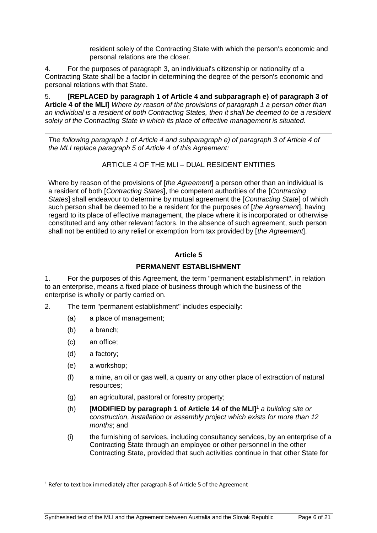resident solely of the Contracting State with which the person's economic and personal relations are the closer.

4. For the purposes of paragraph 3, an individual's citizenship or nationality of a Contracting State shall be a factor in determining the degree of the person's economic and personal relations with that State.

5. **[REPLACED by paragraph 1 of Article 4 and subparagraph e) of paragraph 3 of Article 4 of the MLI]** *Where by reason of the provisions of paragraph 1 a person other than an individual is a resident of both Contracting States, then it shall be deemed to be a resident solely of the Contracting State in which its place of effective management is situated.*

*The following paragraph 1 of Article 4 and subparagraph e) of paragraph 3 of Article 4 of the MLI replace paragraph 5 of Article 4 of this Agreement:*

ARTICLE 4 OF THE MLI – DUAL RESIDENT ENTITIES

Where by reason of the provisions of [*the Agreement*] a person other than an individual is a resident of both [*Contracting States*], the competent authorities of the [*Contracting States*] shall endeavour to determine by mutual agreement the [*Contracting State*] of which such person shall be deemed to be a resident for the purposes of [*the Agreement*], having regard to its place of effective management, the place where it is incorporated or otherwise constituted and any other relevant factors. In the absence of such agreement, such person shall not be entitled to any relief or exemption from tax provided by [*the Agreement*].

# **Article 5**

# **PERMANENT ESTABLISHMENT**

1. For the purposes of this Agreement, the term "permanent establishment", in relation to an enterprise, means a fixed place of business through which the business of the enterprise is wholly or partly carried on.

- 2. The term "permanent establishment" includes especially:
	- (a) a place of management;
	- (b) a branch;
	- (c) an office;
	- (d) a factory;
	- (e) a workshop;
	- (f) a mine, an oil or gas well, a quarry or any other place of extraction of natural resources;
	- (g) an agricultural, pastoral or forestry property;
	- (h) [**MODIFIED by paragraph 1 of Article 14 of the MLI]**<sup>1</sup> *a building site or construction, installation or assembly project which exists for more than 12 months*; and
	- (i) the furnishing of services, including consultancy services, by an enterprise of a Contracting State through an employee or other personnel in the other Contracting State, provided that such activities continue in that other State for

 $1$  Refer to text box immediately after paragraph 8 of Article 5 of the Agreement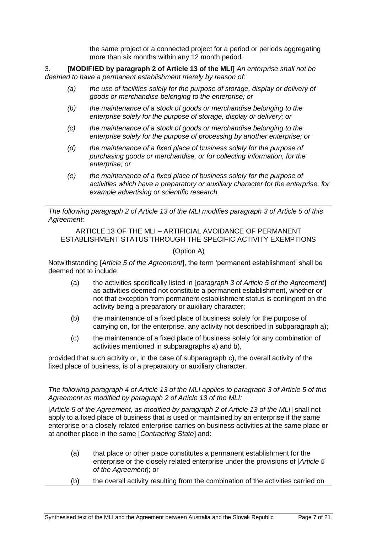the same project or a connected project for a period or periods aggregating more than six months within any 12 month period.

3. **[MODIFIED by paragraph 2 of Article 13 of the MLI]** *An enterprise shall not be deemed to have a permanent establishment merely by reason of:*

- *(a) the use of facilities solely for the purpose of storage, display or delivery of goods or merchandise belonging to the enterprise; or*
- *(b) the maintenance of a stock of goods or merchandise belonging to the enterprise solely for the purpose of storage, display or delivery; or*
- *(c) the maintenance of a stock of goods or merchandise belonging to the enterprise solely for the purpose of processing by another enterprise; or*
- *(d) the maintenance of a fixed place of business solely for the purpose of purchasing goods or merchandise, or for collecting information, for the enterprise; or*
- *(e) the maintenance of a fixed place of business solely for the purpose of activities which have a preparatory or auxiliary character for the enterprise, for example advertising or scientific research.*

*The following paragraph 2 of Article 13 of the MLI modifies paragraph 3 of Article 5 of this Agreement:*

ARTICLE 13 OF THE MLI – ARTIFICIAL AVOIDANCE OF PERMANENT ESTABLISHMENT STATUS THROUGH THE SPECIFIC ACTIVITY EXEMPTIONS

### (Option A)

Notwithstanding [*Article 5 of the Agreement*], the term 'permanent establishment' shall be deemed not to include:

- (a) the activities specifically listed in [*paragraph 3 of Article 5 of the Agreement*] as activities deemed not constitute a permanent establishment, whether or not that exception from permanent establishment status is contingent on the activity being a preparatory or auxiliary character;
- (b) the maintenance of a fixed place of business solely for the purpose of carrying on, for the enterprise, any activity not described in subparagraph a);
- (c) the maintenance of a fixed place of business solely for any combination of activities mentioned in subparagraphs a) and b),

provided that such activity or, in the case of subparagraph c), the overall activity of the fixed place of business, is of a preparatory or auxiliary character.

*The following paragraph 4 of Article 13 of the MLI applies to paragraph 3 of Article 5 of this Agreement as modified by paragraph 2 of Article 13 of the MLI:*

[*Article 5 of the Agreement, as modified by paragraph 2 of Article 13 of the MLI*] shall not apply to a fixed place of business that is used or maintained by an enterprise if the same enterprise or a closely related enterprise carries on business activities at the same place or at another place in the same [*Contracting State*] and:

- (a) that place or other place constitutes a permanent establishment for the enterprise or the closely related enterprise under the provisions of [*Article 5 of the Agreement*]; or
- (b) the overall activity resulting from the combination of the activities carried on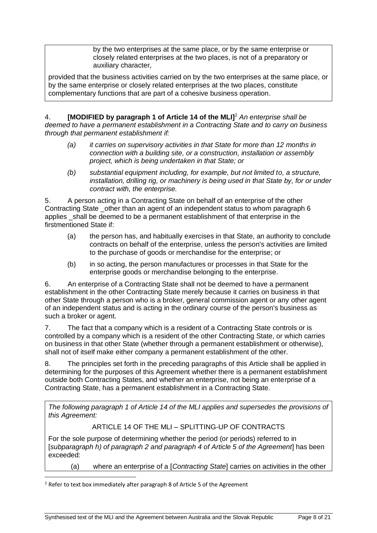by the two enterprises at the same place, or by the same enterprise or closely related enterprises at the two places, is not of a preparatory or auxiliary character,

provided that the business activities carried on by the two enterprises at the same place, or by the same enterprise or closely related enterprises at the two places, constitute complementary functions that are part of a cohesive business operation.

4. **[MODIFIED by paragraph 1 of Article 14 of the MLI]**<sup>2</sup> *An enterprise shall be deemed to have a permanent establishment in a Contracting State and to carry on business through that permanent establishment if:*

- *(a) it carries on supervisory activities in that State for more than 12 months in connection with a building site, or a construction, installation or assembly project, which is being undertaken in that State; or*
- *(b) substantial equipment including, for example, but not limited to, a structure, installation, drilling rig, or machinery is being used in that State by, for or under contract with, the enterprise.*

5. A person acting in a Contracting State on behalf of an enterprise of the other Contracting State other than an agent of an independent status to whom paragraph 6 applies shall be deemed to be a permanent establishment of that enterprise in the firstmentioned State if:

- (a) the person has, and habitually exercises in that State, an authority to conclude contracts on behalf of the enterprise, unless the person's activities are limited to the purchase of goods or merchandise for the enterprise; or
- (b) in so acting, the person manufactures or processes in that State for the enterprise goods or merchandise belonging to the enterprise.

6. An enterprise of a Contracting State shall not be deemed to have a permanent establishment in the other Contracting State merely because it carries on business in that other State through a person who is a broker, general commission agent or any other agent of an independent status and is acting in the ordinary course of the person's business as such a broker or agent.

7. The fact that a company which is a resident of a Contracting State controls or is controlled by a company which is a resident of the other Contracting State, or which carries on business in that other State (whether through a permanent establishment or otherwise), shall not of itself make either company a permanent establishment of the other.

8. The principles set forth in the preceding paragraphs of this Article shall be applied in determining for the purposes of this Agreement whether there is a permanent establishment outside both Contracting States, and whether an enterprise, not being an enterprise of a Contracting State, has a permanent establishment in a Contracting State.

*The following paragraph 1 of Article 14 of the MLI applies and supersedes the provisions of this Agreement:*

ARTICLE 14 OF THE MLL – SPLITTING-UP OF CONTRACTS

For the sole purpose of determining whether the period (or periods) referred to in [*subparagraph h) of paragraph 2 and paragraph 4 of Article 5 of the Agreement*] has been exceeded:

(a) where an enterprise of a [*Contracting State*] carries on activities in the other

<sup>2</sup> Refer to text box immediately after paragraph 8 of Article 5 of the Agreement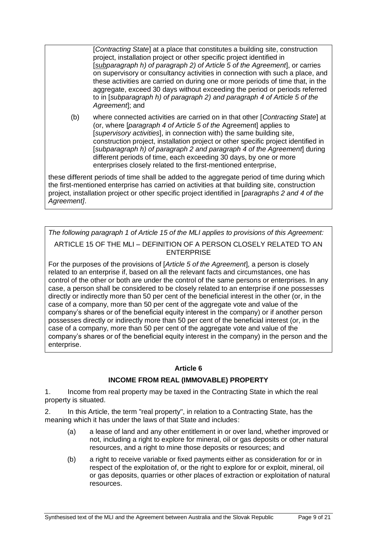[*Contracting State*] at a place that constitutes a building site, construction project, installation project or other specific project identified in [*subparagraph h) of paragraph 2) of Article 5 of the Agreement*], or carries on supervisory or consultancy activities in connection with such a place, and these activities are carried on during one or more periods of time that, in the aggregate, exceed 30 days without exceeding the period or periods referred to in [*subparagraph h) of paragraph 2) and paragraph 4 of Article 5 of the Agreement*]; and

(b) where connected activities are carried on in that other [*Contracting State*] at (or, where [*paragraph 4 of Article 5 of the* Agreement] applies to [*supervisory activities*], in connection with) the same building site, construction project, installation project or other specific project identified in [*subparagraph h) of paragraph 2 and paragraph 4 of the Agreement*] during different periods of time, each exceeding 30 days, by one or more enterprises closely related to the first-mentioned enterprise,

these different periods of time shall be added to the aggregate period of time during which the first-mentioned enterprise has carried on activities at that building site, construction project, installation project or other specific project identified in [*paragraphs 2 and 4 of the Agreement]*.

*The following paragraph 1 of Article 15 of the MLI applies to provisions of this Agreement:* ARTICLE 15 OF THE MLI – DEFINITION OF A PERSON CLOSELY RELATED TO AN **ENTERPRISE** 

For the purposes of the provisions of [*Article 5 of the Agreement*], a person is closely related to an enterprise if, based on all the relevant facts and circumstances, one has control of the other or both are under the control of the same persons or enterprises. In any case, a person shall be considered to be closely related to an enterprise if one possesses directly or indirectly more than 50 per cent of the beneficial interest in the other (or, in the case of a company, more than 50 per cent of the aggregate vote and value of the company's shares or of the beneficial equity interest in the company) or if another person possesses directly or indirectly more than 50 per cent of the beneficial interest (or, in the case of a company, more than 50 per cent of the aggregate vote and value of the company's shares or of the beneficial equity interest in the company) in the person and the enterprise.

### **Article 6**

# **INCOME FROM REAL (IMMOVABLE) PROPERTY**

1. Income from real property may be taxed in the Contracting State in which the real property is situated.

2. In this Article, the term "real property", in relation to a Contracting State, has the meaning which it has under the laws of that State and includes:

- (a) a lease of land and any other entitlement in or over land, whether improved or not, including a right to explore for mineral, oil or gas deposits or other natural resources, and a right to mine those deposits or resources; and
- (b) a right to receive variable or fixed payments either as consideration for or in respect of the exploitation of, or the right to explore for or exploit, mineral, oil or gas deposits, quarries or other places of extraction or exploitation of natural resources.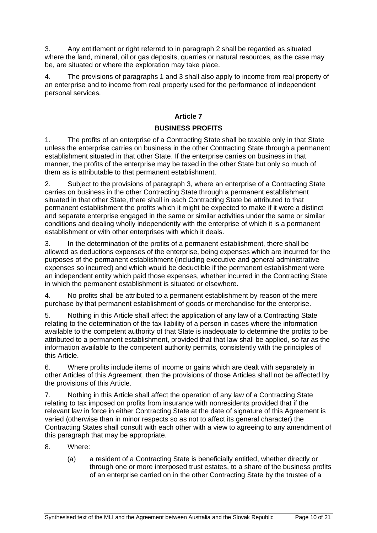3. Any entitlement or right referred to in paragraph 2 shall be regarded as situated where the land, mineral, oil or gas deposits, quarries or natural resources, as the case may be, are situated or where the exploration may take place.

4. The provisions of paragraphs 1 and 3 shall also apply to income from real property of an enterprise and to income from real property used for the performance of independent personal services.

## **Article 7**

# **BUSINESS PROFITS**

1. The profits of an enterprise of a Contracting State shall be taxable only in that State unless the enterprise carries on business in the other Contracting State through a permanent establishment situated in that other State. If the enterprise carries on business in that manner, the profits of the enterprise may be taxed in the other State but only so much of them as is attributable to that permanent establishment.

2. Subject to the provisions of paragraph 3, where an enterprise of a Contracting State carries on business in the other Contracting State through a permanent establishment situated in that other State, there shall in each Contracting State be attributed to that permanent establishment the profits which it might be expected to make if it were a distinct and separate enterprise engaged in the same or similar activities under the same or similar conditions and dealing wholly independently with the enterprise of which it is a permanent establishment or with other enterprises with which it deals.

3. In the determination of the profits of a permanent establishment, there shall be allowed as deductions expenses of the enterprise, being expenses which are incurred for the purposes of the permanent establishment (including executive and general administrative expenses so incurred) and which would be deductible if the permanent establishment were an independent entity which paid those expenses, whether incurred in the Contracting State in which the permanent establishment is situated or elsewhere.

4. No profits shall be attributed to a permanent establishment by reason of the mere purchase by that permanent establishment of goods or merchandise for the enterprise.

5. Nothing in this Article shall affect the application of any law of a Contracting State relating to the determination of the tax liability of a person in cases where the information available to the competent authority of that State is inadequate to determine the profits to be attributed to a permanent establishment, provided that that law shall be applied, so far as the information available to the competent authority permits, consistently with the principles of this Article.

6. Where profits include items of income or gains which are dealt with separately in other Articles of this Agreement, then the provisions of those Articles shall not be affected by the provisions of this Article.

7. Nothing in this Article shall affect the operation of any law of a Contracting State relating to tax imposed on profits from insurance with nonresidents provided that if the relevant law in force in either Contracting State at the date of signature of this Agreement is varied (otherwise than in minor respects so as not to affect its general character) the Contracting States shall consult with each other with a view to agreeing to any amendment of this paragraph that may be appropriate.

- 8. Where:
	- (a) a resident of a Contracting State is beneficially entitled, whether directly or through one or more interposed trust estates, to a share of the business profits of an enterprise carried on in the other Contracting State by the trustee of a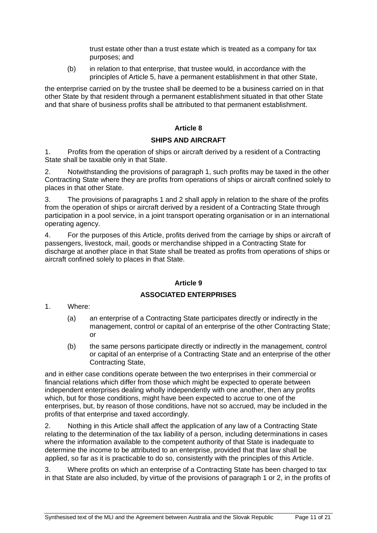trust estate other than a trust estate which is treated as a company for tax purposes; and

(b) in relation to that enterprise, that trustee would, in accordance with the principles of Article 5, have a permanent establishment in that other State,

the enterprise carried on by the trustee shall be deemed to be a business carried on in that other State by that resident through a permanent establishment situated in that other State and that share of business profits shall be attributed to that permanent establishment.

### **Article 8**

#### **SHIPS AND AIRCRAFT**

1. Profits from the operation of ships or aircraft derived by a resident of a Contracting State shall be taxable only in that State.

2. Notwithstanding the provisions of paragraph 1, such profits may be taxed in the other Contracting State where they are profits from operations of ships or aircraft confined solely to places in that other State.

3. The provisions of paragraphs 1 and 2 shall apply in relation to the share of the profits from the operation of ships or aircraft derived by a resident of a Contracting State through participation in a pool service, in a joint transport operating organisation or in an international operating agency.

4. For the purposes of this Article, profits derived from the carriage by ships or aircraft of passengers, livestock, mail, goods or merchandise shipped in a Contracting State for discharge at another place in that State shall be treated as profits from operations of ships or aircraft confined solely to places in that State.

#### **Article 9**

#### **ASSOCIATED ENTERPRISES**

- 1. Where:
	- (a) an enterprise of a Contracting State participates directly or indirectly in the management, control or capital of an enterprise of the other Contracting State; or
	- (b) the same persons participate directly or indirectly in the management, control or capital of an enterprise of a Contracting State and an enterprise of the other Contracting State,

and in either case conditions operate between the two enterprises in their commercial or financial relations which differ from those which might be expected to operate between independent enterprises dealing wholly independently with one another, then any profits which, but for those conditions, might have been expected to accrue to one of the enterprises, but, by reason of those conditions, have not so accrued, may be included in the profits of that enterprise and taxed accordingly.

2. Nothing in this Article shall affect the application of any law of a Contracting State relating to the determination of the tax liability of a person, including determinations in cases where the information available to the competent authority of that State is inadequate to determine the income to be attributed to an enterprise, provided that that law shall be applied, so far as it is practicable to do so, consistently with the principles of this Article.

3. Where profits on which an enterprise of a Contracting State has been charged to tax in that State are also included, by virtue of the provisions of paragraph 1 or 2, in the profits of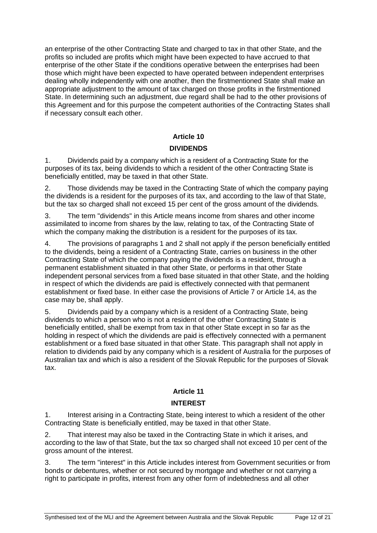an enterprise of the other Contracting State and charged to tax in that other State, and the profits so included are profits which might have been expected to have accrued to that enterprise of the other State if the conditions operative between the enterprises had been those which might have been expected to have operated between independent enterprises dealing wholly independently with one another, then the firstmentioned State shall make an appropriate adjustment to the amount of tax charged on those profits in the firstmentioned State. In determining such an adjustment, due regard shall be had to the other provisions of this Agreement and for this purpose the competent authorities of the Contracting States shall if necessary consult each other.

### **Article 10**

### **DIVIDENDS**

1. Dividends paid by a company which is a resident of a Contracting State for the purposes of its tax, being dividends to which a resident of the other Contracting State is beneficially entitled, may be taxed in that other State.

2. Those dividends may be taxed in the Contracting State of which the company paying the dividends is a resident for the purposes of its tax, and according to the law of that State, but the tax so charged shall not exceed 15 per cent of the gross amount of the dividends.

3. The term "dividends" in this Article means income from shares and other income assimilated to income from shares by the law, relating to tax, of the Contracting State of which the company making the distribution is a resident for the purposes of its tax.

4. The provisions of paragraphs 1 and 2 shall not apply if the person beneficially entitled to the dividends, being a resident of a Contracting State, carries on business in the other Contracting State of which the company paying the dividends is a resident, through a permanent establishment situated in that other State, or performs in that other State independent personal services from a fixed base situated in that other State, and the holding in respect of which the dividends are paid is effectively connected with that permanent establishment or fixed base. In either case the provisions of Article 7 or Article 14, as the case may be, shall apply.

5. Dividends paid by a company which is a resident of a Contracting State, being dividends to which a person who is not a resident of the other Contracting State is beneficially entitled, shall be exempt from tax in that other State except in so far as the holding in respect of which the dividends are paid is effectively connected with a permanent establishment or a fixed base situated in that other State. This paragraph shall not apply in relation to dividends paid by any company which is a resident of Australia for the purposes of Australian tax and which is also a resident of the Slovak Republic for the purposes of Slovak tax.

### **Article 11**

### **INTEREST**

1. Interest arising in a Contracting State, being interest to which a resident of the other Contracting State is beneficially entitled, may be taxed in that other State.

2. That interest may also be taxed in the Contracting State in which it arises, and according to the law of that State, but the tax so charged shall not exceed 10 per cent of the gross amount of the interest.

3. The term "interest" in this Article includes interest from Government securities or from bonds or debentures, whether or not secured by mortgage and whether or not carrying a right to participate in profits, interest from any other form of indebtedness and all other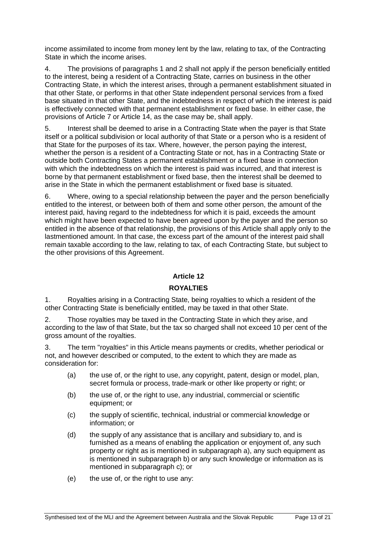income assimilated to income from money lent by the law, relating to tax, of the Contracting State in which the income arises.

4. The provisions of paragraphs 1 and 2 shall not apply if the person beneficially entitled to the interest, being a resident of a Contracting State, carries on business in the other Contracting State, in which the interest arises, through a permanent establishment situated in that other State, or performs in that other State independent personal services from a fixed base situated in that other State, and the indebtedness in respect of which the interest is paid is effectively connected with that permanent establishment or fixed base. In either case, the provisions of Article 7 or Article 14, as the case may be, shall apply.

5. Interest shall be deemed to arise in a Contracting State when the payer is that State itself or a political subdivision or local authority of that State or a person who is a resident of that State for the purposes of its tax. Where, however, the person paying the interest, whether the person is a resident of a Contracting State or not, has in a Contracting State or outside both Contracting States a permanent establishment or a fixed base in connection with which the indebtedness on which the interest is paid was incurred, and that interest is borne by that permanent establishment or fixed base, then the interest shall be deemed to arise in the State in which the permanent establishment or fixed base is situated.

6. Where, owing to a special relationship between the payer and the person beneficially entitled to the interest, or between both of them and some other person, the amount of the interest paid, having regard to the indebtedness for which it is paid, exceeds the amount which might have been expected to have been agreed upon by the payer and the person so entitled in the absence of that relationship, the provisions of this Article shall apply only to the lastmentioned amount. In that case, the excess part of the amount of the interest paid shall remain taxable according to the law, relating to tax, of each Contracting State, but subject to the other provisions of this Agreement.

### **Article 12**

### **ROYALTIES**

1. Royalties arising in a Contracting State, being royalties to which a resident of the other Contracting State is beneficially entitled, may be taxed in that other State.

2. Those royalties may be taxed in the Contracting State in which they arise, and according to the law of that State, but the tax so charged shall not exceed 10 per cent of the gross amount of the royalties.

3. The term "royalties" in this Article means payments or credits, whether periodical or not, and however described or computed, to the extent to which they are made as consideration for:

- (a) the use of, or the right to use, any copyright, patent, design or model, plan, secret formula or process, trade-mark or other like property or right; or
- (b) the use of, or the right to use, any industrial, commercial or scientific equipment; or
- (c) the supply of scientific, technical, industrial or commercial knowledge or information; or
- (d) the supply of any assistance that is ancillary and subsidiary to, and is furnished as a means of enabling the application or enjoyment of, any such property or right as is mentioned in subparagraph a), any such equipment as is mentioned in subparagraph b) or any such knowledge or information as is mentioned in subparagraph c); or
- (e) the use of, or the right to use any: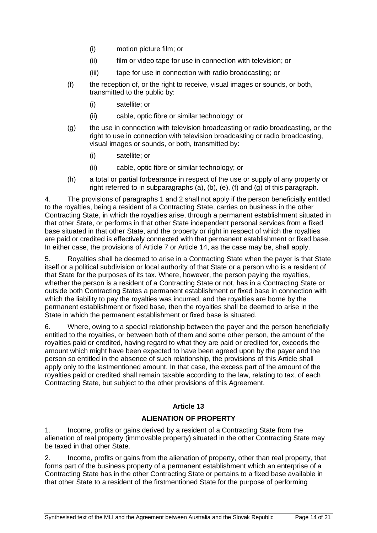- (i) motion picture film; or
- (ii) film or video tape for use in connection with television; or
- (iii) tape for use in connection with radio broadcasting; or
- (f) the reception of, or the right to receive, visual images or sounds, or both, transmitted to the public by:
	- (i) satellite; or
	- (ii) cable, optic fibre or similar technology; or
- (g) the use in connection with television broadcasting or radio broadcasting, or the right to use in connection with television broadcasting or radio broadcasting. visual images or sounds, or both, transmitted by:
	- (i) satellite; or
	- (ii) cable, optic fibre or similar technology; or
- (h) a total or partial forbearance in respect of the use or supply of any property or right referred to in subparagraphs (a), (b), (e), (f) and (g) of this paragraph.

4. The provisions of paragraphs 1 and 2 shall not apply if the person beneficially entitled to the royalties, being a resident of a Contracting State, carries on business in the other Contracting State, in which the royalties arise, through a permanent establishment situated in that other State, or performs in that other State independent personal services from a fixed base situated in that other State, and the property or right in respect of which the royalties are paid or credited is effectively connected with that permanent establishment or fixed base. In either case, the provisions of Article 7 or Article 14, as the case may be, shall apply.

5. Royalties shall be deemed to arise in a Contracting State when the payer is that State itself or a political subdivision or local authority of that State or a person who is a resident of that State for the purposes of its tax. Where, however, the person paying the royalties, whether the person is a resident of a Contracting State or not, has in a Contracting State or outside both Contracting States a permanent establishment or fixed base in connection with which the liability to pay the royalties was incurred, and the royalties are borne by the permanent establishment or fixed base, then the royalties shall be deemed to arise in the State in which the permanent establishment or fixed base is situated.

6. Where, owing to a special relationship between the payer and the person beneficially entitled to the royalties, or between both of them and some other person, the amount of the royalties paid or credited, having regard to what they are paid or credited for, exceeds the amount which might have been expected to have been agreed upon by the payer and the person so entitled in the absence of such relationship, the provisions of this Article shall apply only to the lastmentioned amount. In that case, the excess part of the amount of the royalties paid or credited shall remain taxable according to the law, relating to tax, of each Contracting State, but subject to the other provisions of this Agreement.

### **Article 13**

### **ALIENATION OF PROPERTY**

1. Income, profits or gains derived by a resident of a Contracting State from the alienation of real property (immovable property) situated in the other Contracting State may be taxed in that other State.

2. Income, profits or gains from the alienation of property, other than real property, that forms part of the business property of a permanent establishment which an enterprise of a Contracting State has in the other Contracting State or pertains to a fixed base available in that other State to a resident of the firstmentioned State for the purpose of performing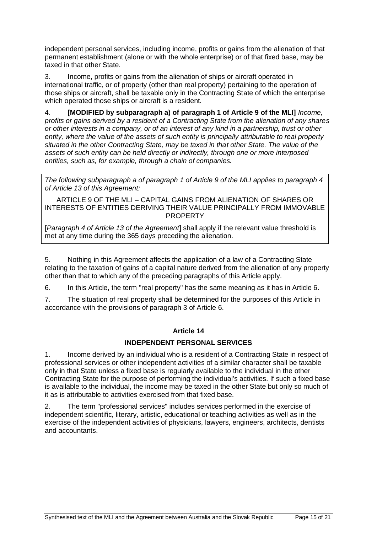independent personal services, including income, profits or gains from the alienation of that permanent establishment (alone or with the whole enterprise) or of that fixed base, may be taxed in that other State.

3. Income, profits or gains from the alienation of ships or aircraft operated in international traffic, or of property (other than real property) pertaining to the operation of those ships or aircraft, shall be taxable only in the Contracting State of which the enterprise which operated those ships or aircraft is a resident.

4. **[MODIFIED by subparagraph a) of paragraph 1 of Article 9 of the MLI]** *Income, profits or gains derived by a resident of a Contracting State from the alienation of any shares or other interests in a company, or of an interest of any kind in a partnership, trust or other entity, where the value of the assets of such entity is principally attributable to real property situated in the other Contracting State, may be taxed in that other State. The value of the assets of such entity can be held directly or indirectly, through one or more interposed entities, such as, for example, through a chain of companies.*

*The following subparagraph a of paragraph 1 of Article 9 of the MLI applies to paragraph 4 of Article 13 of this Agreement:*

ARTICLE 9 OF THE MLI – CAPITAL GAINS FROM ALIENATION OF SHARES OR INTERESTS OF ENTITIES DERIVING THEIR VALUE PRINCIPALLY FROM IMMOVABLE PROPERTY

[*Paragraph 4 of Article 13 of the Agreement*] shall apply if the relevant value threshold is met at any time during the 365 days preceding the alienation.

5. Nothing in this Agreement affects the application of a law of a Contracting State relating to the taxation of gains of a capital nature derived from the alienation of any property other than that to which any of the preceding paragraphs of this Article apply.

6. In this Article, the term "real property" has the same meaning as it has in Article 6.

7. The situation of real property shall be determined for the purposes of this Article in accordance with the provisions of paragraph 3 of Article 6.

### **Article 14**

### **INDEPENDENT PERSONAL SERVICES**

1. Income derived by an individual who is a resident of a Contracting State in respect of professional services or other independent activities of a similar character shall be taxable only in that State unless a fixed base is regularly available to the individual in the other Contracting State for the purpose of performing the individual's activities. If such a fixed base is available to the individual, the income may be taxed in the other State but only so much of it as is attributable to activities exercised from that fixed base.

2. The term "professional services" includes services performed in the exercise of independent scientific, literary, artistic, educational or teaching activities as well as in the exercise of the independent activities of physicians, lawyers, engineers, architects, dentists and accountants.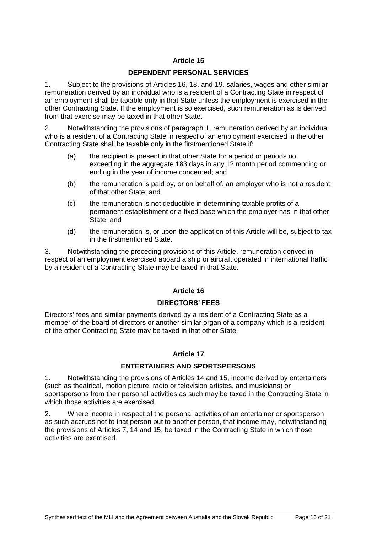### **Article 15**

#### **DEPENDENT PERSONAL SERVICES**

1. Subject to the provisions of Articles 16, 18, and 19, salaries, wages and other similar remuneration derived by an individual who is a resident of a Contracting State in respect of an employment shall be taxable only in that State unless the employment is exercised in the other Contracting State. If the employment is so exercised, such remuneration as is derived from that exercise may be taxed in that other State.

2. Notwithstanding the provisions of paragraph 1, remuneration derived by an individual who is a resident of a Contracting State in respect of an employment exercised in the other Contracting State shall be taxable only in the firstmentioned State if:

- (a) the recipient is present in that other State for a period or periods not exceeding in the aggregate 183 days in any 12 month period commencing or ending in the year of income concerned; and
- (b) the remuneration is paid by, or on behalf of, an employer who is not a resident of that other State; and
- (c) the remuneration is not deductible in determining taxable profits of a permanent establishment or a fixed base which the employer has in that other State; and
- (d) the remuneration is, or upon the application of this Article will be, subject to tax in the firstmentioned State.

3. Notwithstanding the preceding provisions of this Article, remuneration derived in respect of an employment exercised aboard a ship or aircraft operated in international traffic by a resident of a Contracting State may be taxed in that State.

### **Article 16**

#### **DIRECTORS' FEES**

Directors' fees and similar payments derived by a resident of a Contracting State as a member of the board of directors or another similar organ of a company which is a resident of the other Contracting State may be taxed in that other State.

#### **Article 17**

#### **ENTERTAINERS AND SPORTSPERSONS**

1. Notwithstanding the provisions of Articles 14 and 15, income derived by entertainers (such as theatrical, motion picture, radio or television artistes, and musicians) or sportspersons from their personal activities as such may be taxed in the Contracting State in which those activities are exercised.

2. Where income in respect of the personal activities of an entertainer or sportsperson as such accrues not to that person but to another person, that income may, notwithstanding the provisions of Articles 7, 14 and 15, be taxed in the Contracting State in which those activities are exercised.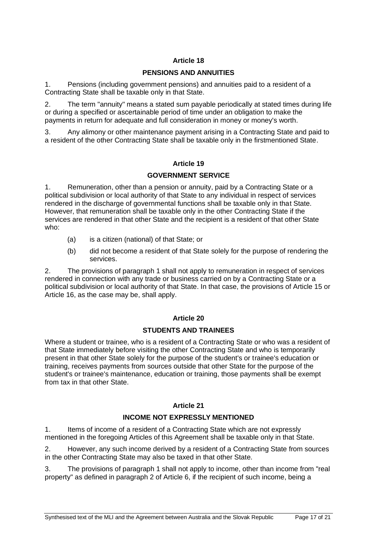### **Article 18**

#### **PENSIONS AND ANNUITIES**

1. Pensions (including government pensions) and annuities paid to a resident of a Contracting State shall be taxable only in that State.

2. The term "annuity" means a stated sum payable periodically at stated times during life or during a specified or ascertainable period of time under an obligation to make the payments in return for adequate and full consideration in money or money's worth.

3. Any alimony or other maintenance payment arising in a Contracting State and paid to a resident of the other Contracting State shall be taxable only in the firstmentioned State.

### **Article 19**

### **GOVERNMENT SERVICE**

1. Remuneration, other than a pension or annuity, paid by a Contracting State or a political subdivision or local authority of that State to any individual in respect of services rendered in the discharge of governmental functions shall be taxable only in that State. However, that remuneration shall be taxable only in the other Contracting State if the services are rendered in that other State and the recipient is a resident of that other State who:

- (a) is a citizen (national) of that State; or
- (b) did not become a resident of that State solely for the purpose of rendering the services.

2. The provisions of paragraph 1 shall not apply to remuneration in respect of services rendered in connection with any trade or business carried on by a Contracting State or a political subdivision or local authority of that State. In that case, the provisions of Article 15 or Article 16, as the case may be, shall apply.

#### **Article 20**

#### **STUDENTS AND TRAINEES**

Where a student or trainee, who is a resident of a Contracting State or who was a resident of that State immediately before visiting the other Contracting State and who is temporarily present in that other State solely for the purpose of the student's or trainee's education or training, receives payments from sources outside that other State for the purpose of the student's or trainee's maintenance, education or training, those payments shall be exempt from tax in that other State.

#### **Article 21**

#### **INCOME NOT EXPRESSLY MENTIONED**

1. Items of income of a resident of a Contracting State which are not expressly mentioned in the foregoing Articles of this Agreement shall be taxable only in that State.

2. However, any such income derived by a resident of a Contracting State from sources in the other Contracting State may also be taxed in that other State.

3. The provisions of paragraph 1 shall not apply to income, other than income from "real property" as defined in paragraph 2 of Article 6, if the recipient of such income, being a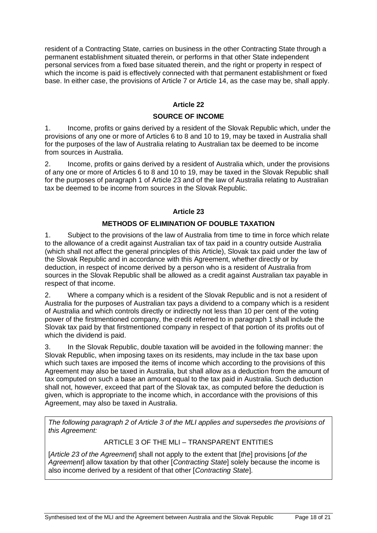resident of a Contracting State, carries on business in the other Contracting State through a permanent establishment situated therein, or performs in that other State independent personal services from a fixed base situated therein, and the right or property in respect of which the income is paid is effectively connected with that permanent establishment or fixed base. In either case, the provisions of Article 7 or Article 14, as the case may be, shall apply.

### **Article 22**

#### **SOURCE OF INCOME**

1. Income, profits or gains derived by a resident of the Slovak Republic which, under the provisions of any one or more of Articles 6 to 8 and 10 to 19, may be taxed in Australia shall for the purposes of the law of Australia relating to Australian tax be deemed to be income from sources in Australia.

2. Income, profits or gains derived by a resident of Australia which, under the provisions of any one or more of Articles 6 to 8 and 10 to 19, may be taxed in the Slovak Republic shall for the purposes of paragraph 1 of Article 23 and of the law of Australia relating to Australian tax be deemed to be income from sources in the Slovak Republic.

### **Article 23**

# **METHODS OF ELIMINATION OF DOUBLE TAXATION**

1. Subject to the provisions of the law of Australia from time to time in force which relate to the allowance of a credit against Australian tax of tax paid in a country outside Australia (which shall not affect the general principles of this Article), Slovak tax paid under the law of the Slovak Republic and in accordance with this Agreement, whether directly or by deduction, in respect of income derived by a person who is a resident of Australia from sources in the Slovak Republic shall be allowed as a credit against Australian tax payable in respect of that income.

2. Where a company which is a resident of the Slovak Republic and is not a resident of Australia for the purposes of Australian tax pays a dividend to a company which is a resident of Australia and which controls directly or indirectly not less than 10 per cent of the voting power of the firstmentioned company, the credit referred to in paragraph 1 shall include the Slovak tax paid by that firstmentioned company in respect of that portion of its profits out of which the dividend is paid.

3. In the Slovak Republic, double taxation will be avoided in the following manner: the Slovak Republic, when imposing taxes on its residents, may include in the tax base upon which such taxes are imposed the items of income which according to the provisions of this Agreement may also be taxed in Australia, but shall allow as a deduction from the amount of tax computed on such a base an amount equal to the tax paid in Australia. Such deduction shall not, however, exceed that part of the Slovak tax, as computed before the deduction is given, which is appropriate to the income which, in accordance with the provisions of this Agreement, may also be taxed in Australia.

*The following paragraph 2 of Article 3 of the MLI applies and supersedes the provisions of this Agreement:*

### ARTICLE 3 OF THE MLI – TRANSPARENT ENTITIES

[*Article 23 of the Agreement*] shall not apply to the extent that [*the*] provisions [*of the Agreement*] allow taxation by that other [*Contracting State*] solely because the income is also income derived by a resident of that other [*Contracting State*].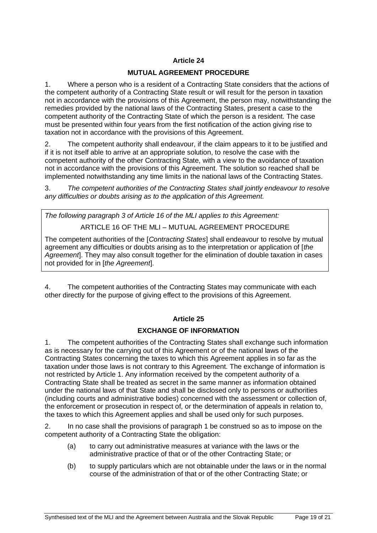## **Article 24**

### **MUTUAL AGREEMENT PROCEDURE**

1. Where a person who is a resident of a Contracting State considers that the actions of the competent authority of a Contracting State result or will result for the person in taxation not in accordance with the provisions of this Agreement, the person may, notwithstanding the remedies provided by the national laws of the Contracting States, present a case to the competent authority of the Contracting State of which the person is a resident. The case must be presented within four years from the first notification of the action giving rise to taxation not in accordance with the provisions of this Agreement.

2. The competent authority shall endeavour, if the claim appears to it to be justified and if it is not itself able to arrive at an appropriate solution, to resolve the case with the competent authority of the other Contracting State, with a view to the avoidance of taxation not in accordance with the provisions of this Agreement. The solution so reached shall be implemented notwithstanding any time limits in the national laws of the Contracting States.

3. *The competent authorities of the Contracting States shall jointly endeavour to resolve any difficulties or doubts arising as to the application of this Agreement.*

*The following paragraph 3 of Article 16 of the MLI applies to this Agreement:* 

ARTICLE 16 OF THE MLI – MUTUAL AGREEMENT PROCEDURE

The competent authorities of the [*Contracting States*] shall endeavour to resolve by mutual agreement any difficulties or doubts arising as to the interpretation or application of [*the Agreement*]. They may also consult together for the elimination of double taxation in cases not provided for in [*the Agreement*].

4. The competent authorities of the Contracting States may communicate with each other directly for the purpose of giving effect to the provisions of this Agreement.

### **Article 25**

### **EXCHANGE OF INFORMATION**

1. The competent authorities of the Contracting States shall exchange such information as is necessary for the carrying out of this Agreement or of the national laws of the Contracting States concerning the taxes to which this Agreement applies in so far as the taxation under those laws is not contrary to this Agreement. The exchange of information is not restricted by Article 1. Any information received by the competent authority of a Contracting State shall be treated as secret in the same manner as information obtained under the national laws of that State and shall be disclosed only to persons or authorities (including courts and administrative bodies) concerned with the assessment or collection of, the enforcement or prosecution in respect of, or the determination of appeals in relation to, the taxes to which this Agreement applies and shall be used only for such purposes.

2. In no case shall the provisions of paragraph 1 be construed so as to impose on the competent authority of a Contracting State the obligation:

- (a) to carry out administrative measures at variance with the laws or the administrative practice of that or of the other Contracting State; or
- (b) to supply particulars which are not obtainable under the laws or in the normal course of the administration of that or of the other Contracting State; or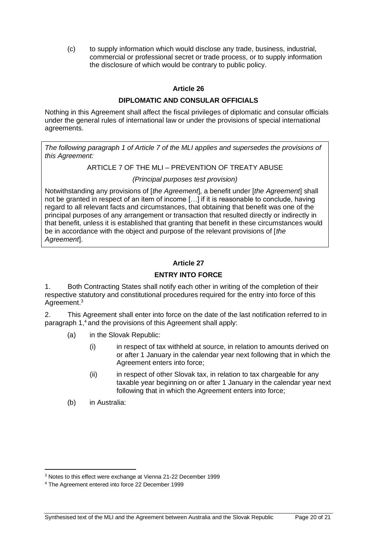(c) to supply information which would disclose any trade, business, industrial, commercial or professional secret or trade process, or to supply information the disclosure of which would be contrary to public policy.

### **Article 26**

#### **DIPLOMATIC AND CONSULAR OFFICIALS**

Nothing in this Agreement shall affect the fiscal privileges of diplomatic and consular officials under the general rules of international law or under the provisions of special international agreements.

*The following paragraph 1 of Article 7 of the MLI applies and supersedes the provisions of this Agreement:* 

#### ARTICLE 7 OF THE MLI – PREVENTION OF TREATY ABUSE

### *(Principal purposes test provision)*

Notwithstanding any provisions of [*the Agreement*], a benefit under [*the Agreement*] shall not be granted in respect of an item of income […] if it is reasonable to conclude, having regard to all relevant facts and circumstances, that obtaining that benefit was one of the principal purposes of any arrangement or transaction that resulted directly or indirectly in that benefit, unless it is established that granting that benefit in these circumstances would be in accordance with the object and purpose of the relevant provisions of [*the Agreement*].

### **Article 27**

#### **ENTRY INTO FORCE**

1. Both Contracting States shall notify each other in writing of the completion of their respective statutory and constitutional procedures required for the entry into force of this Agreement.<sup>3</sup>

2. This Agreement shall enter into force on the date of the last notification referred to in paragraph 1[,](http://www.austlii.edu.au/au/other/dfat/treaties/1999/35.html#fn1)<sup>4</sup> and the provisions of this Agreement shall apply:

- (a) in the Slovak Republic:
	- (i) in respect of tax withheld at source, in relation to amounts derived on or after 1 January in the calendar year next following that in which the Agreement enters into force;
	- (ii) in respect of other Slovak tax, in relation to tax chargeable for any taxable year beginning on or after 1 January in the calendar year next following that in which the Agreement enters into force;
- (b) in Australia:

<sup>3</sup> Notes to this effect were exchange at Vienna 21-22 December 1999

<sup>4</sup> The Agreement entered into force 22 December 1999